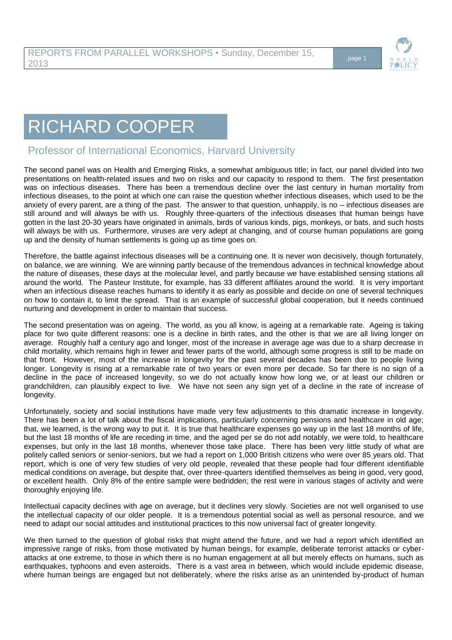

## RICHARD COOPER

## Professor of International Economics, Harvard University

The second panel was on Health and Emerging Risks, a somewhat ambiguous title; in fact, our panel divided into two presentations on health-related issues and two on risks and our capacity to respond to them. The first presentation was on infectious diseases. There has been a tremendous decline over the last century in human mortality from infectious diseases, to the point at which one can raise the question whether infectious diseases, which used to be the anxiety of every parent, are a thing of the past. The answer to that question, unhappily, is no – infectious diseases are still around and will always be with us. Roughly three-quarters of the infectious diseases that human beings have gotten in the last 20-30 years have originated in animals, birds of various kinds, pigs, monkeys, or bats, and such hosts will always be with us. Furthermore, viruses are very adept at changing, and of course human populations are going up and the density of human settlements is going up as time goes on.

Therefore, the battle against infectious diseases will be a continuing one. It is never won decisively, though fortunately, on balance, we are winning. We are winning partly because of the tremendous advances in technical knowledge about the nature of diseases, these days at the molecular level, and partly because we have established sensing stations all around the world. The Pasteur Institute, for example, has 33 different affiliates around the world. It is very important when an infectious disease reaches humans to identify it as early as possible and decide on one of several techniques on how to contain it, to limit the spread. That is an example of successful global cooperation, but it needs continued nurturing and development in order to maintain that success.

The second presentation was on ageing. The world, as you all know, is ageing at a remarkable rate. Ageing is taking place for two quite different reasons: one is a decline in birth rates, and the other is that we are all living longer on average. Roughly half a century ago and longer, most of the increase in average age was due to a sharp decrease in child mortality, which remains high in fewer and fewer parts of the world, although some progress is still to be made on that front. However, most of the increase in longevity for the past several decades has been due to people living longer. Longevity is rising at a remarkable rate of two years or even more per decade. So far there is no sign of a decline in the pace of increased longevity, so we do not actually know how long we, or at least our children or grandchildren, can plausibly expect to live. We have not seen any sign yet of a decline in the rate of increase of longevity.

Unfortunately, society and social institutions have made very few adjustments to this dramatic increase in longevity. There has been a lot of talk about the fiscal implications, particularly concerning pensions and healthcare in old age; that, we learned, is the wrong way to put it. It is true that healthcare expenses go way up in the last 18 months of life, but the last 18 months of life are receding in time, and the aged per se do not add notably, we were told, to healthcare expenses, but only in the last 18 months, whenever those take place. There has been very little study of what are politely called seniors or senior-seniors, but we had a report on 1,000 British citizens who were over 85 years old. That report, which is one of very few studies of very old people, revealed that these people had four different identifiable medical conditions on average, but despite that, over three-quarters identified themselves as being in good, very good, or excellent health. Only 8% of the entire sample were bedridden; the rest were in various stages of activity and were thoroughly enjoying life.

Intellectual capacity declines with age on average, but it declines very slowly. Societies are not well organised to use the intellectual capacity of our older people. It is a tremendous potential social as well as personal resource, and we need to adapt our social attitudes and institutional practices to this now universal fact of greater longevity.

We then turned to the question of global risks that might attend the future, and we had a report which identified an impressive range of risks, from those motivated by human beings, for example, deliberate terrorist attacks or cyberattacks at one extreme, to those in which there is no human engagement at all but merely effects on humans, such as earthquakes, typhoons and even asteroids. There is a vast area in between, which would include epidemic disease, where human beings are engaged but not deliberately, where the risks arise as an unintended by-product of human